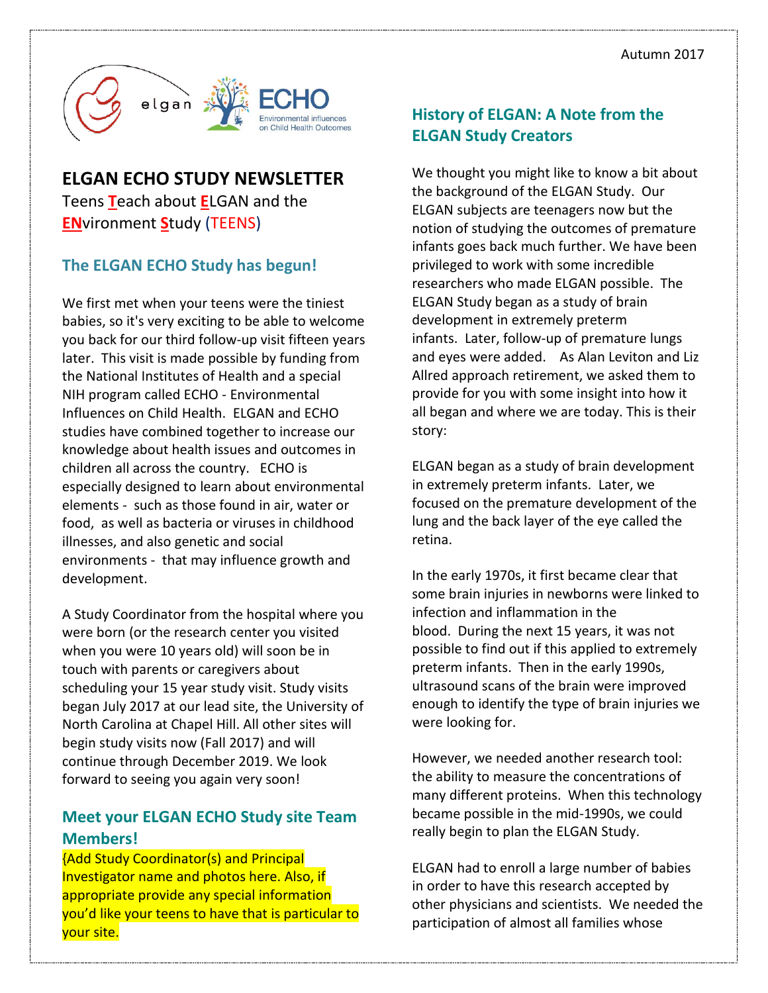

## **ELGAN ECHO STUDY NEWSLETTER**

Teens **T**each about **E**LGAN and the **EN**vironment **S**tudy (TEENS)

## **The ELGAN ECHO Study has begun!**

We first met when your teens were the tiniest babies, so it's very exciting to be able to welcome you back for our third follow-up visit fifteen years later. This visit is made possible by funding from the National Institutes of Health and a special NIH program called ECHO - Environmental Influences on Child Health. ELGAN and ECHO studies have combined together to increase our knowledge about health issues and outcomes in children all across the country. ECHO is especially designed to learn about environmental elements - such as those found in air, water or food, as well as bacteria or viruses in childhood illnesses, and also genetic and social environments - that may influence growth and development.

A Study Coordinator from the hospital where you were born (or the research center you visited when you were 10 years old) will soon be in touch with parents or caregivers about scheduling your 15 year study visit. Study visits began July 2017 at our lead site, the University of North Carolina at Chapel Hill. All other sites will begin study visits now (Fall 2017) and will continue through December 2019. We look forward to seeing you again very soon!

## **Meet your ELGAN ECHO Study site Team Members!**

{Add Study Coordinator(s) and Principal Investigator name and photos here. Also, if appropriate provide any special information you'd like your teens to have that is particular to your site.

## **History of ELGAN: A Note from the ELGAN Study Creators**

We thought you might like to know a bit about the background of the ELGAN Study. Our ELGAN subjects are teenagers now but the notion of studying the outcomes of premature infants goes back much further. We have been privileged to work with some incredible researchers who made ELGAN possible. The ELGAN Study began as a study of brain development in extremely preterm infants. Later, follow-up of premature lungs and eyes were added. As Alan Leviton and Liz Allred approach retirement, we asked them to provide for you with some insight into how it all began and where we are today. This is their story:

ELGAN began as a study of brain development in extremely preterm infants. Later, we focused on the premature development of the lung and the back layer of the eye called the retina.

In the early 1970s, it first became clear that some brain injuries in newborns were linked to infection and inflammation in the blood. During the next 15 years, it was not possible to find out if this applied to extremely preterm infants. Then in the early 1990s, ultrasound scans of the brain were improved enough to identify the type of brain injuries we were looking for.

However, we needed another research tool: the ability to measure the concentrations of many different proteins. When this technology became possible in the mid-1990s, we could really begin to plan the ELGAN Study.

ELGAN had to enroll a large number of babies in order to have this research accepted by other physicians and scientists. We needed the participation of almost all families whose